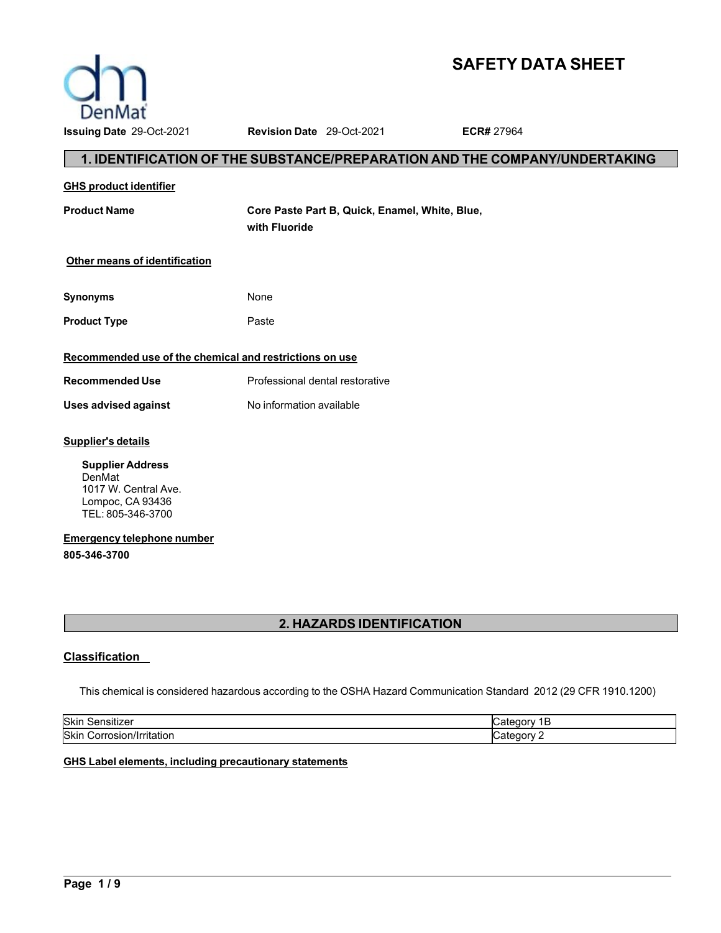

# **SAFETY DATA SHEET**

**1. IDENTIFICATION OF THE SUBSTANCE/PREPARATION AND THE COMPANY/UNDERTAKING**

# **GHS product identifier Product Name Core Paste Part B, Quick, Enamel, White, Blue, with Fluoride Other means of identification Synonyms** None **Product Type Paste Recommended use of the chemical and restrictions on use Recommended Use** Professional dental restorative **Uses advised against** No information available **Supplier's details Supplier Address** DenMat 1017 W. Central Ave. Lompoc, CA 93436 TEL: 805-346-3700

**Emergency telephone number 805-346-3700**

## **2. HAZARDS IDENTIFICATION**

## **Classification**

This chemical is considered hazardous according to the OSHA Hazard Communication Standard 2012 (29 CFR 1910.1200)

| .                                 |                |
|-----------------------------------|----------------|
| Skin<br>.<br>siuzei               |                |
| Skin<br>rosion/Irritation<br>orr_ | .<br>10 H<br>- |

## **GHS Label elements, including precautionary statements**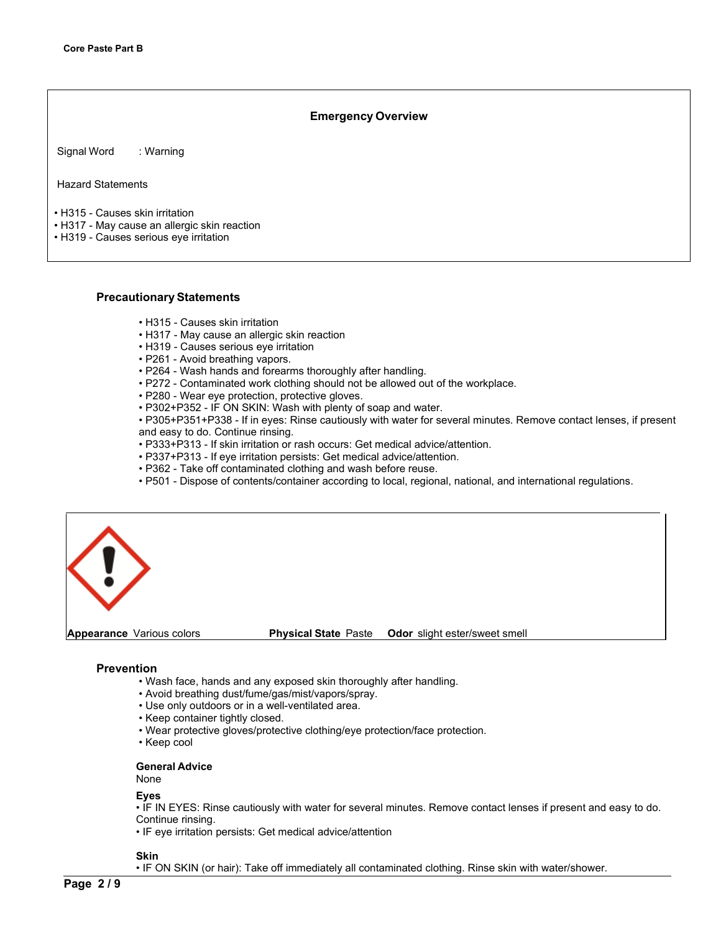## **Emergency Overview**

Signal Word : Warning

Hazard Statements

- H315 Causes skin irritation
- H317 May cause an allergic skin reaction
- H319 Causes serious eye irritation

## **Precautionary Statements**

- H315 Causes skin irritation
- H317 May cause an allergic skin reaction
- H319 Causes serious eye irritation
- P261 Avoid breathing vapors.
- P264 Wash hands and forearms thoroughly after handling.
- P272 Contaminated work clothing should not be allowed out of the workplace.
- P280 Wear eye protection, protective gloves.
- P302+P352 IF ON SKIN: Wash with plenty of soap and water.
- P305+P351+P338 If in eyes: Rinse cautiously with water for several minutes. Remove contact lenses, if present and easy to do. Continue rinsing.
- P333+P313 If skin irritation or rash occurs: Get medical advice/attention.
- P337+P313 If eye irritation persists: Get medical advice/attention.
- P362 Take off contaminated clothing and wash before reuse.
- P501 Dispose of contents/container according to local, regional, national, and international regulations.



## **Prevention**

- Wash face, hands and any exposed skin thoroughly after handling.
- Avoid breathing dust/fume/gas/mist/vapors/spray.
- Use only outdoors or in a well-ventilated area.
- Keep container tightly closed.
- Wear protective gloves/protective clothing/eye protection/face protection.
- Keep cool

## **General Advice**

None

### **Eyes**

• IF IN EYES: Rinse cautiously with water for several minutes. Remove contact lenses if present and easy to do. Continue rinsing.

• IF eye irritation persists: Get medical advice/attention

## **Skin**

• IF ON SKIN (or hair): Take off immediately all contaminated clothing. Rinse skin with water/shower.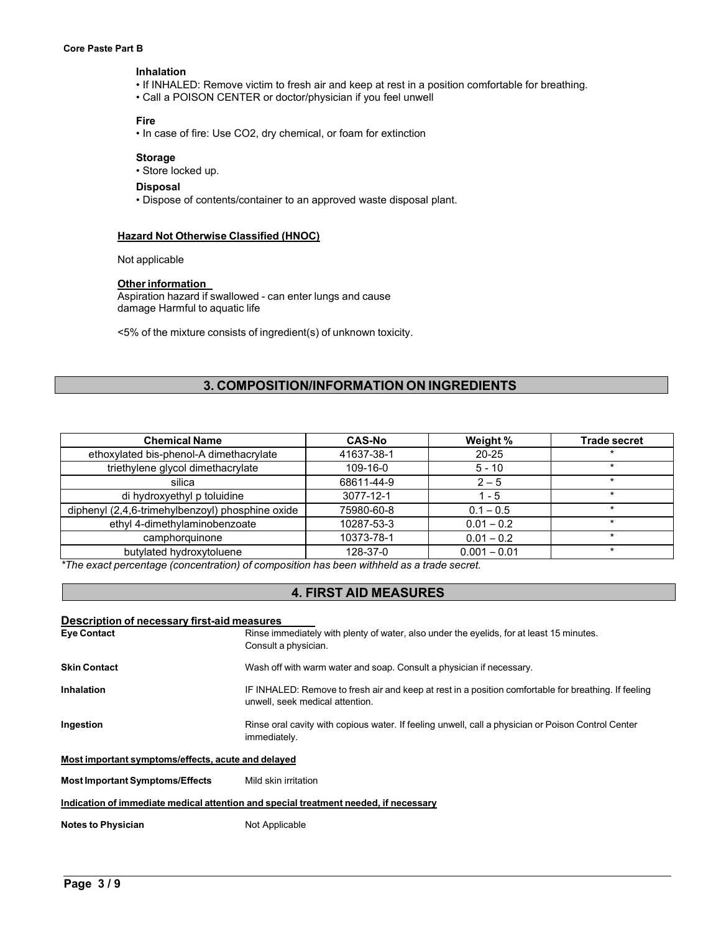### **Core Paste Part B**

### **Inhalation**

- If INHALED: Remove victim to fresh air and keep at rest in a position comfortable for breathing.
- Call a POISON CENTER or doctor/physician if you feel unwell

## **Fire**

• In case of fire: Use CO2, dry chemical, or foam for extinction

## **Storage**

• Store locked up.

## **Disposal**

• Dispose of contents/container to an approved waste disposal plant.

## **Hazard Not Otherwise Classified (HNOC)**

Not applicable

## **Other information**

Aspiration hazard if swallowed - can enter lungs and cause damage Harmful to aquatic life

<5% of the mixture consists of ingredient(s) of unknown toxicity.

## **3. COMPOSITION/INFORMATION ON INGREDIENTS**

| <b>Chemical Name</b>                             | <b>CAS-No</b> | Weight %       | <b>Trade secret</b> |
|--------------------------------------------------|---------------|----------------|---------------------|
| ethoxylated bis-phenol-A dimethacrylate          | 41637-38-1    | $20 - 25$      |                     |
| triethylene glycol dimethacrylate                | 109-16-0      | $5 - 10$       |                     |
| silica                                           | 68611-44-9    | $2 - 5$        | $\star$             |
| di hydroxyethyl p toluidine                      | 3077-12-1     | $1 - 5$        |                     |
| diphenyl (2,4,6-trimehylbenzoyl) phosphine oxide | 75980-60-8    | $0.1 - 0.5$    |                     |
| ethyl 4-dimethylaminobenzoate                    | 10287-53-3    | $0.01 - 0.2$   | $\star$             |
| camphorquinone                                   | 10373-78-1    | $0.01 - 0.2$   | $\star$             |
| butylated hydroxytoluene                         | 128-37-0      | $0.001 - 0.01$ | $\star$             |

*\*The exact percentage (concentration) of composition has been withheld as a trade secret.*

## **4. FIRST AID MEASURES**

| Description of necessary first-aid measures        |                                                                                                                                         |  |  |  |
|----------------------------------------------------|-----------------------------------------------------------------------------------------------------------------------------------------|--|--|--|
| <b>Eye Contact</b>                                 | Rinse immediately with plenty of water, also under the eyelids, for at least 15 minutes.                                                |  |  |  |
|                                                    | Consult a physician.                                                                                                                    |  |  |  |
| <b>Skin Contact</b>                                | Wash off with warm water and soap. Consult a physician if necessary.                                                                    |  |  |  |
| <b>Inhalation</b>                                  | IF INHALED: Remove to fresh air and keep at rest in a position comfortable for breathing. If feeling<br>unwell, seek medical attention. |  |  |  |
| Ingestion                                          | Rinse oral cavity with copious water. If feeling unwell, call a physician or Poison Control Center<br>immediately.                      |  |  |  |
| Most important symptoms/effects, acute and delayed |                                                                                                                                         |  |  |  |
| <b>Most Important Symptoms/Effects</b>             | Mild skin irritation                                                                                                                    |  |  |  |
|                                                    | Indication of immediate medical attention and special treatment needed, if necessary                                                    |  |  |  |
| <b>Notes to Physician</b>                          | Not Applicable                                                                                                                          |  |  |  |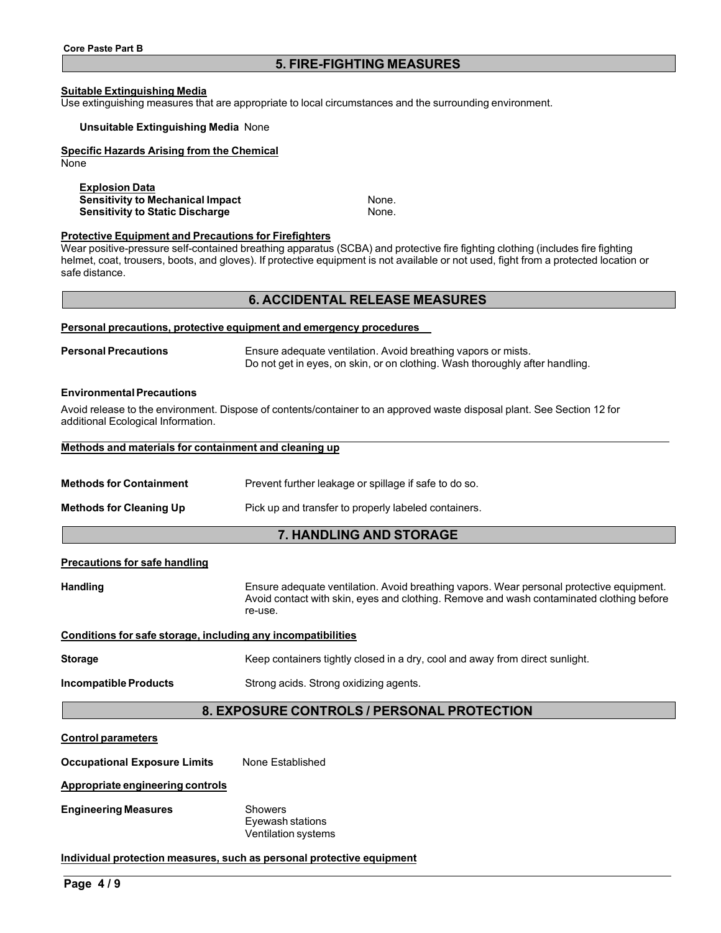## **5. FIRE-FIGHTING MEASURES**

## **Suitable Extinguishing Media**

Use extinguishing measures that are appropriate to local circumstances and the surrounding environment.

### **Unsuitable Extinguishing Media** None

### **Specific Hazards Arising from the Chemical**

None

**Explosion Data Sensitivity to Mechanical Impact None.**<br> **Sensitivity to Static Discharge** Mone. **Sensitivity to Static Discharge** 

### **Protective Equipment and Precautions for Firefighters**

Wear positive-pressure self-contained breathing apparatus (SCBA) and protective fire fighting clothing (includes fire fighting helmet, coat, trousers, boots, and gloves). If protective equipment is not available or not used, fight from a protected location or safe distance.

## **6. ACCIDENTAL RELEASE MEASURES**

### **Personal precautions, protective equipment and emergency procedures**

**Personal Precautions** Ensure adequate ventilation. Avoid breathing vapors or mists. Do not get in eyes, on skin, or on clothing. Wash thoroughly after handling.

### **EnvironmentalPrecautions**

Avoid release to the environment. Dispose of contents/container to an approved waste disposal plant. See Section 12 for additional Ecological Information.

|  |  |  |  |  |  |  | Methods and materials for containment and cleaning up |  |  |  |
|--|--|--|--|--|--|--|-------------------------------------------------------|--|--|--|
|  |  |  |  |  |  |  |                                                       |  |  |  |

**Methods for Containment** Prevent further leakage or spillage if safe to do so.

**Methods for Cleaning Up** Pick up and transfer to properly labeled containers.

## **7. HANDLING AND STORAGE**

## **Precautions for safe handling**

**Handling** Ensure adequate ventilation. Avoid breathing vapors. Wear personal protective equipment. Avoid contact with skin, eyes and clothing. Remove and wash contaminated clothing before re-use.

## **Conditions for safe storage, including any incompatibilities**

**Storage** Keep containers tightly closed in a dry, cool and away from direct sunlight.

**Incompatible Products** Strong acids. Strong oxidizing agents.

## **8. EXPOSURE CONTROLS / PERSONAL PROTECTION**

### **Control parameters**

**Occupational Exposure Limits** None Established

**Appropriate engineering controls**

**Engineering Measures** Showers

Eyewash stations Ventilation systems

## **Individual protection measures, such as personal protective equipment**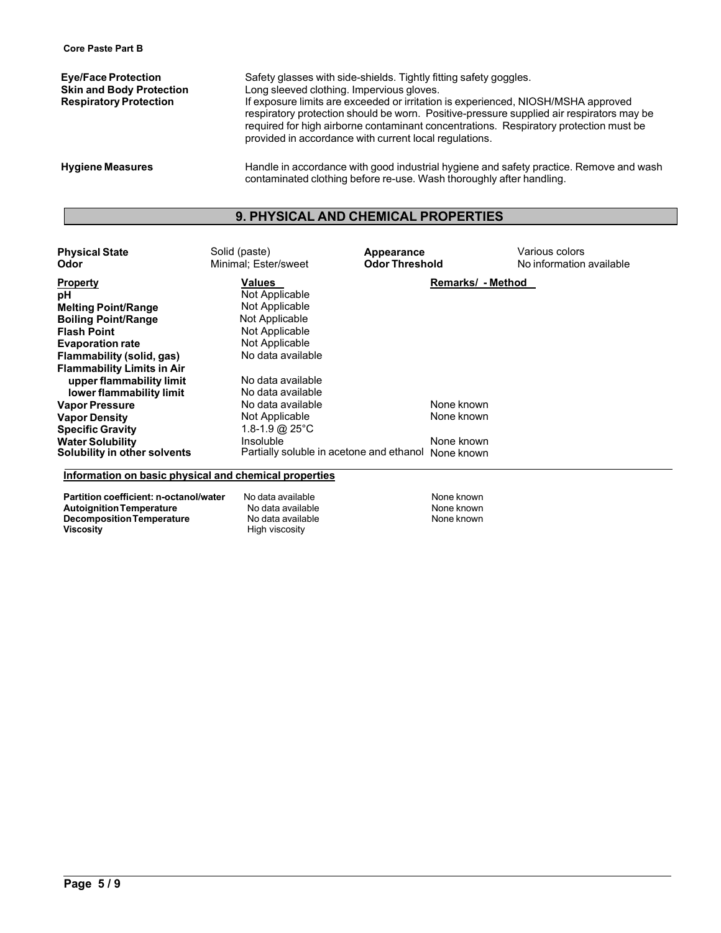**Eye/Face Protection** Safety glasses with side-shields. Tightly fitting safety goggles.<br> **Skin and Body Protection** Long sleeved clothing. Impervious gloves. **Skin and Body Protection** Long sleeved clothing. Impervious gloves.<br> **Respiratory Protection Exposure limits are exceeded or irritation** If exposure limits are exceeded or irritation is experienced, NIOSH/MSHA approved respiratory protection should be worn. Positive-pressure supplied air respirators may be required for high airborne contaminant concentrations. Respiratory protection must be provided in accordance with current local regulations.

**Hygiene Measures** Handle in accordance with good industrial hygiene and safety practice. Remove and wash contaminated clothing before re-use. Wash thoroughly after handling.

## **9. PHYSICAL AND CHEMICAL PROPERTIES**

| <b>Physical State</b><br>Odor                         | Solid (paste)<br>Minimal; Ester/sweet               | Appearance<br><b>Odor Threshold</b> | Various colors<br>No information available |
|-------------------------------------------------------|-----------------------------------------------------|-------------------------------------|--------------------------------------------|
| <b>Property</b>                                       | Values                                              | Remarks/ - Method                   |                                            |
| рH                                                    | Not Applicable                                      |                                     |                                            |
| <b>Melting Point/Range</b>                            | Not Applicable                                      |                                     |                                            |
| <b>Boiling Point/Range</b>                            | Not Applicable                                      |                                     |                                            |
| <b>Flash Point</b>                                    | Not Applicable                                      |                                     |                                            |
| <b>Evaporation rate</b>                               | Not Applicable                                      |                                     |                                            |
| Flammability (solid, gas)                             | No data available                                   |                                     |                                            |
| <b>Flammability Limits in Air</b>                     |                                                     |                                     |                                            |
| upper flammability limit                              | No data available                                   |                                     |                                            |
| lower flammability limit                              | No data available                                   |                                     |                                            |
| <b>Vapor Pressure</b>                                 | No data available                                   | None known                          |                                            |
| <b>Vapor Density</b>                                  | Not Applicable                                      | None known                          |                                            |
| <b>Specific Gravity</b>                               | 1.8-1.9 @ $25^{\circ}$ C                            |                                     |                                            |
| <b>Water Solubility</b>                               | Insoluble                                           | None known                          |                                            |
| Solubility in other solvents                          | Partially soluble in acetone and ethanol None known |                                     |                                            |
| Information on basic physical and chemical properties |                                                     |                                     |                                            |

**Partition coefficient: n-octanol/water** No data available None known **Autoignition Temperature No data available None known**<br> **Decomposition Temperature No data available None known**<br>
None known **Decomposition Temperature<br>Viscosity** 

**Viscosity** High viscosity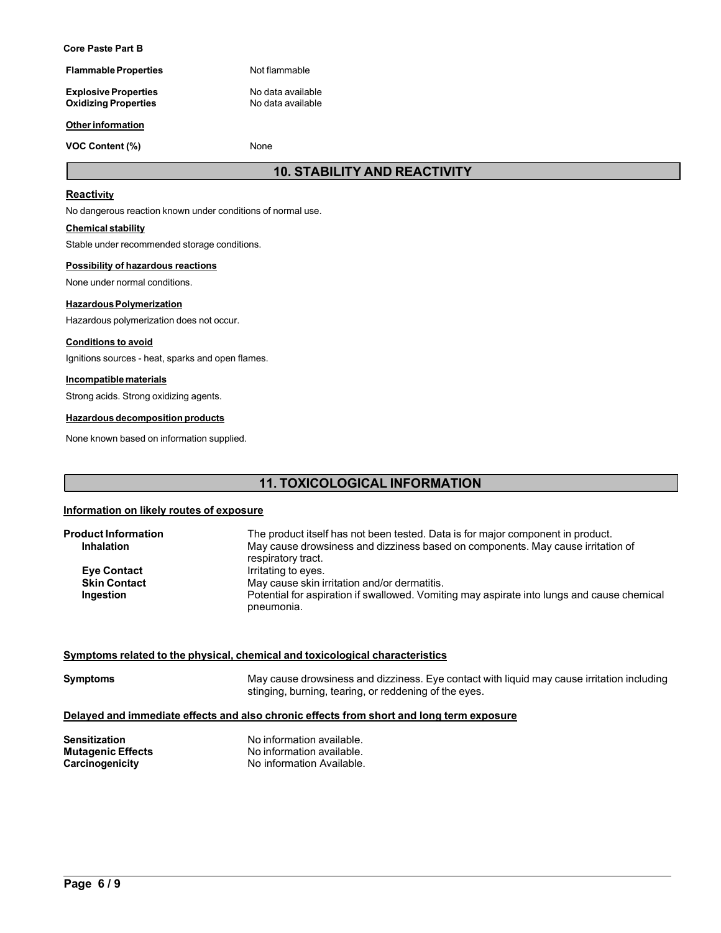### **Core Paste Part B**

**Flammable Properties** Not flammable

**Explosive Properties**<br> **Oxidizing Properties**<br>
No data available **Oxidizing Properties** 

### **Other information**

**VOC Content (%)** None

## **10. STABILITY AND REACTIVITY**

## **Reactivity**

No dangerous reaction known under conditions of normal use.

## **Chemical stability**

Stable under recommended storage conditions.

### **Possibility of hazardous reactions**

None under normal conditions.

### **HazardousPolymerization**

Hazardous polymerization does not occur.

## **Conditions to avoid**

Ignitions sources - heat, sparks and open flames.

## **Incompatiblematerials**

Strong acids. Strong oxidizing agents.

### **Hazardous decomposition products**

None known based on information supplied.

## **11. TOXICOLOGICAL INFORMATION**

## **Information on likely routes of exposure**

| <b>Product Information</b><br><b>Inhalation</b> | The product itself has not been tested. Data is for major component in product.<br>May cause drowsiness and dizziness based on components. May cause irritation of<br>respiratory tract. |
|-------------------------------------------------|------------------------------------------------------------------------------------------------------------------------------------------------------------------------------------------|
| <b>Eye Contact</b>                              | Irritating to eyes.                                                                                                                                                                      |
| <b>Skin Contact</b>                             | May cause skin irritation and/or dermatitis.                                                                                                                                             |
| Ingestion                                       | Potential for aspiration if swallowed. Vomiting may aspirate into lungs and cause chemical<br>pneumonia.                                                                                 |

## **Symptoms related to the physical, chemical and toxicological characteristics**

**Symptoms** May cause drowsiness and dizziness. Eye contact with liquid may cause irritation including stinging, burning, tearing, or reddening of the eyes.

## **Delayed and immediate effects and also chronic effects from short and long term exposure**

**Sensitization**<br> **Mutagenic Effects**<br> **Mutagenic Effects**<br> **Mo** information available. **Mutagenic Effects**<br> **Carcinogenicity**<br> **Carcinogenicity**<br> **No information Available. No information Available.**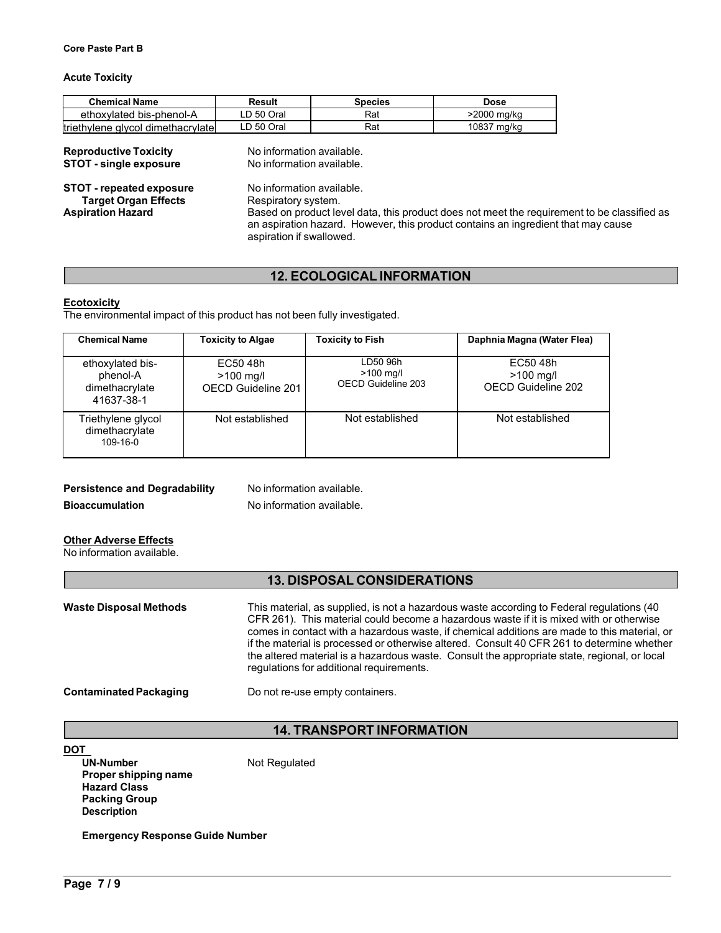## **Acute Toxicity**

| <b>Chemical Name</b>              | Result     | <b>Species</b> | Dose        |
|-----------------------------------|------------|----------------|-------------|
| ethoxylated bis-phenol-A          | LD 50 Oral | Rat            | >2000 mg/kg |
| triethylene glycol dimethacrylate | LD 50 Oral | Rat            | 10837 ma/ka |

| <b>Reproductive Toxicity</b>    | No information available.                                                                                                                                                                                    |
|---------------------------------|--------------------------------------------------------------------------------------------------------------------------------------------------------------------------------------------------------------|
| <b>STOT - single exposure</b>   | No information available.                                                                                                                                                                                    |
| <b>STOT - repeated exposure</b> | No information available.                                                                                                                                                                                    |
| <b>Target Organ Effects</b>     | Respiratory system.                                                                                                                                                                                          |
| <b>Aspiration Hazard</b>        | Based on product level data, this product does not meet the requirement to be classified as<br>an aspiration hazard. However, this product contains an ingredient that may cause<br>aspiration if swallowed. |

## **12. ECOLOGICAL INFORMATION**

## **Ecotoxicity**

The environmental impact of this product has not been fully investigated.

| <b>Chemical Name</b>                                         | <b>Toxicity to Algae</b>                      | <b>Toxicity to Fish</b>                       | Daphnia Magna (Water Flea)                    |
|--------------------------------------------------------------|-----------------------------------------------|-----------------------------------------------|-----------------------------------------------|
| ethoxylated bis-<br>phenol-A<br>dimethacrylate<br>41637-38-1 | EC50 48h<br>$>100$ mg/l<br>OECD Guideline 201 | LD50 96h<br>$>100$ mg/l<br>OECD Guideline 203 | EC50 48h<br>$>100$ mg/l<br>OECD Guideline 202 |
| Triethylene glycol<br>dimethacrylate<br>$109 - 16 - 0$       | Not established                               | Not established                               | Not established                               |

## **Persistence and Degradability** No information available.

**Bioaccumulation** No information available.

## **Other Adverse Effects**

No information available.

## **13. DISPOSAL CONSIDERATIONS**

| <b>Waste Disposal Methods</b> | This material, as supplied, is not a hazardous waste according to Federal regulations (40<br>CFR 261). This material could become a hazardous waste if it is mixed with or otherwise<br>comes in contact with a hazardous waste, if chemical additions are made to this material, or<br>if the material is processed or otherwise altered. Consult 40 CFR 261 to determine whether<br>the altered material is a hazardous waste. Consult the appropriate state, regional, or local<br>regulations for additional requirements. |
|-------------------------------|--------------------------------------------------------------------------------------------------------------------------------------------------------------------------------------------------------------------------------------------------------------------------------------------------------------------------------------------------------------------------------------------------------------------------------------------------------------------------------------------------------------------------------|
| <b>Contaminated Packaging</b> | Do not re-use empty containers.                                                                                                                                                                                                                                                                                                                                                                                                                                                                                                |

## **14. TRANSPORT INFORMATION**

DOT<br>UN-Number

**Not Regulated** 

**Proper shipping name Hazard Class Packing Group Description**

**Emergency Response Guide Number**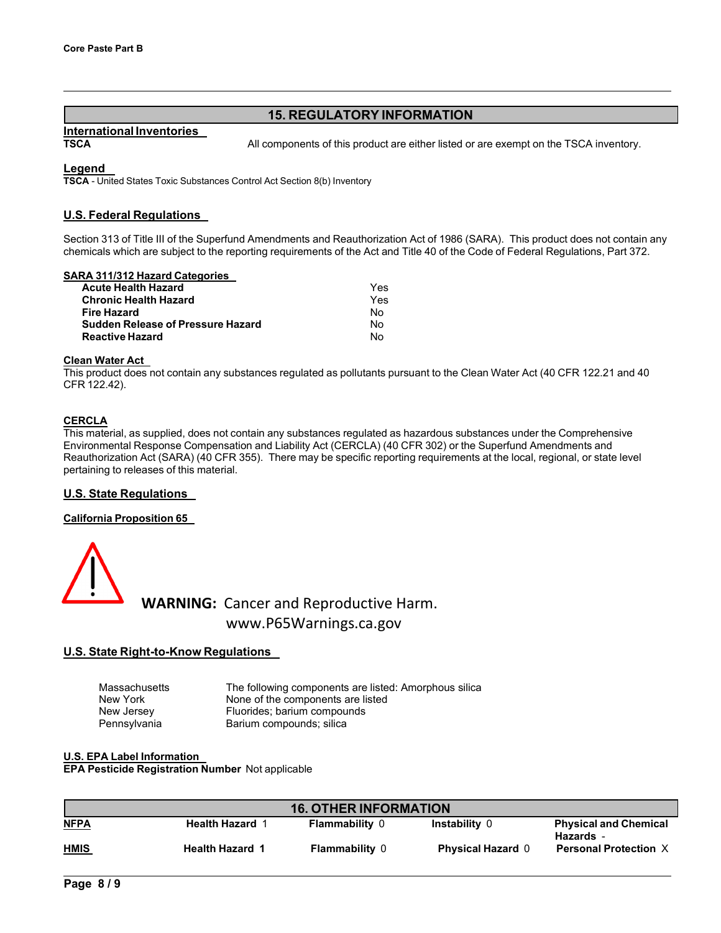## **15. REGULATORY INFORMATION**

# **International Inventories**

**TSCA** All components of this product are either listed or are exempt on the TSCA inventory.

## **Legend**

**TSCA** - United States Toxic Substances Control Act Section 8(b) Inventory

## **U.S. Federal Regulations**

Section 313 of Title III of the Superfund Amendments and Reauthorization Act of 1986 (SARA). This product does not contain any chemicals which are subject to the reporting requirements of the Act and Title 40 of the Code of Federal Regulations, Part 372.

## **SARA 311/312 Hazard Categories**

| <b>Acute Health Hazard</b>               | Yes |
|------------------------------------------|-----|
| <b>Chronic Health Hazard</b>             | Yes |
| <b>Fire Hazard</b>                       | No  |
| <b>Sudden Release of Pressure Hazard</b> | No  |
| <b>Reactive Hazard</b>                   | N٥  |

## **Clean Water Act**

This product does not contain any substances regulated as pollutants pursuant to the Clean Water Act (40 CFR 122.21 and 40 CFR 122.42).

## **CERCLA**

This material, as supplied, does not contain any substances regulated as hazardous substances under the Comprehensive Environmental Response Compensation and Liability Act (CERCLA) (40 CFR 302) or the Superfund Amendments and Reauthorization Act (SARA) (40 CFR 355). There may be specific reporting requirements at the local, regional, or state level pertaining to releases of this material.

## **U.S. State Regulations**

## **California Proposition 65**



**WARNING:** Cancer and Reproductive Harm. www.P65Warnings.ca.gov

## **U.S. State Right-to-Know Regulations**

| Massachusetts | The following components are listed: Amorphous silica |
|---------------|-------------------------------------------------------|
| New York      | None of the components are listed                     |
| New Jersey    | Fluorides; barium compounds                           |
| Pennsylvania  | Barium compounds; silica                              |

**U.S. EPA Label Information EPA Pesticide Registration Number** Not applicable

| <b>16. OTHER INFORMATION</b> |                        |                       |                          |                                                  |  |
|------------------------------|------------------------|-----------------------|--------------------------|--------------------------------------------------|--|
| <b>NFPA</b>                  | <b>Health Hazard 1</b> | <b>Flammability 0</b> | <b>Instability 0</b>     | <b>Physical and Chemical</b><br><b>Hazards</b> - |  |
| <b>HMIS</b>                  | <b>Health Hazard 1</b> | <b>Flammability 0</b> | <b>Physical Hazard 0</b> | <b>Personal Protection X</b>                     |  |